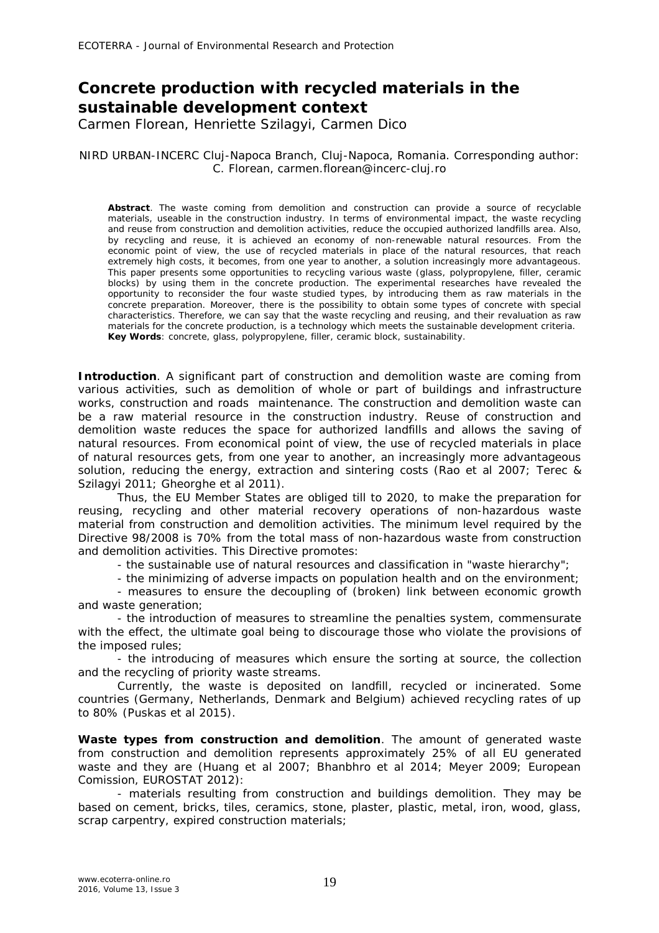## **Concrete production with recycled materials in the sustainable development context**

Carmen Florean, Henriette Szilagyi, Carmen Dico

## NIRD URBAN-INCERC Cluj-Napoca Branch, Cluj-Napoca, Romania. Corresponding author: C. Florean, carmen.florean@incerc-cluj.ro

**Abstract**. The waste coming from demolition and construction can provide a source of recyclable materials, useable in the construction industry. In terms of environmental impact, the waste recycling and reuse from construction and demolition activities, reduce the occupied authorized landfills area. Also, by recycling and reuse, it is achieved an economy of non-renewable natural resources. From the economic point of view, the use of recycled materials in place of the natural resources, that reach extremely high costs, it becomes, from one year to another, a solution increasingly more advantageous. This paper presents some opportunities to recycling various waste (glass, polypropylene, filler, ceramic blocks) by using them in the concrete production. The experimental researches have revealed the opportunity to reconsider the four waste studied types, by introducing them as raw materials in the concrete preparation. Moreover, there is the possibility to obtain some types of concrete with special characteristics. Therefore, we can say that the waste recycling and reusing, and their revaluation as raw materials for the concrete production, is a technology which meets the sustainable development criteria. **Key Words**: concrete, glass, polypropylene, filler, ceramic block, sustainability.

**Introduction**. A significant part of construction and demolition waste are coming from various activities, such as demolition of whole or part of buildings and infrastructure works, construction and roads maintenance. The construction and demolition waste can be a raw material resource in the construction industry. Reuse of construction and demolition waste reduces the space for authorized landfills and allows the saving of natural resources. From economical point of view, the use of recycled materials in place of natural resources gets, from one year to another, an increasingly more advantageous solution, reducing the energy, extraction and sintering costs (Rao et al 2007; Terec & Szilagyi 2011; Gheorghe et al 2011).

Thus, the EU Member States are obliged till to 2020, to make the preparation for reusing, recycling and other material recovery operations of non-hazardous waste material from construction and demolition activities. The minimum level required by the Directive 98/2008 is 70% from the total mass of non-hazardous waste from construction and demolition activities. This Directive promotes:

- the sustainable use of natural resources and classification in "waste hierarchy";

- the minimizing of adverse impacts on population health and on the environment; - measures to ensure the decoupling of (broken) link between economic growth and waste generation;

- the introduction of measures to streamline the penalties system, commensurate with the effect, the ultimate goal being to discourage those who violate the provisions of the imposed rules;

- the introducing of measures which ensure the sorting at source, the collection and the recycling of priority waste streams.

Currently, the waste is deposited on landfill, recycled or incinerated. Some countries (Germany, Netherlands, Denmark and Belgium) achieved recycling rates of up to 80% (Puskas et al 2015).

**Waste types from construction and demolition**. The amount of generated waste from construction and demolition represents approximately 25% of all EU generated waste and they are (Huang et al 2007; Bhanbhro et al 2014; Meyer 2009; European Comission, EUROSTAT 2012):

- materials resulting from construction and buildings demolition. They may be based on cement, bricks, tiles, ceramics, stone, plaster, plastic, metal, iron, wood, glass, scrap carpentry, expired construction materials;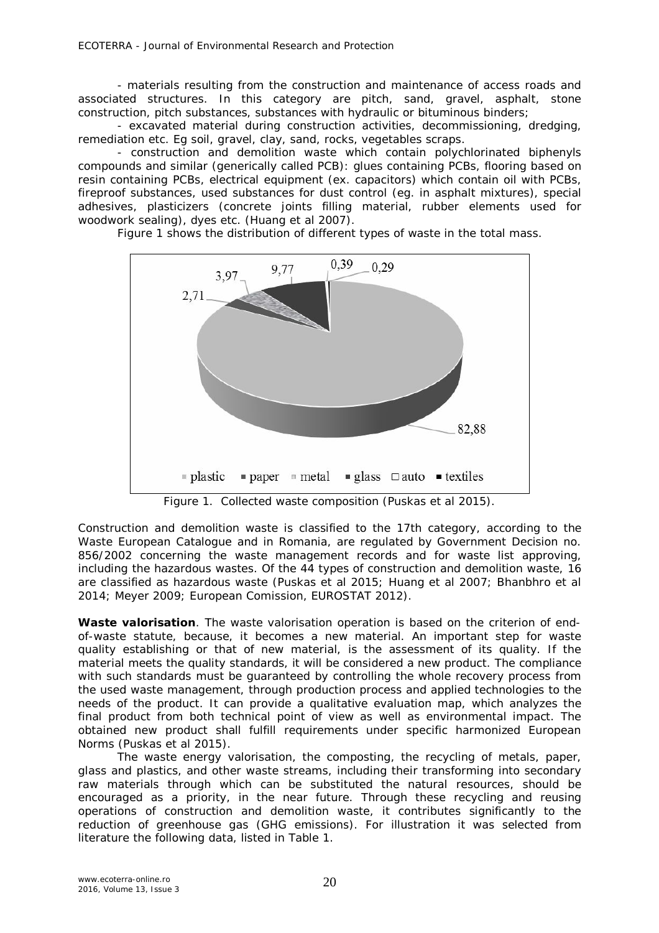- materials resulting from the construction and maintenance of access roads and associated structures. In this category are pitch, sand, gravel, asphalt, stone construction, pitch substances, substances with hydraulic or bituminous binders;

- excavated material during construction activities, decommissioning, dredging, remediation etc. Eg soil, gravel, clay, sand, rocks, vegetables scraps.

- construction and demolition waste which contain polychlorinated biphenyls compounds and similar (generically called PCB): glues containing PCBs, flooring based on resin containing PCBs, electrical equipment (ex. capacitors) which contain oil with PCBs, fireproof substances, used substances for dust control (eg. in asphalt mixtures), special adhesives, plasticizers (concrete joints filling material, rubber elements used for woodwork sealing), dyes etc. (Huang et al 2007).

Figure 1 shows the distribution of different types of waste in the total mass.



Figure 1.Collected waste composition (Puskas et al 2015).

Construction and demolition waste is classified to the 17th category, according to the Waste European Catalogue and in Romania, are regulated by Government Decision no. 856/2002 concerning the waste management records and for waste list approving, including the hazardous wastes. Of the 44 types of construction and demolition waste, 16 are classified as hazardous waste (Puskas et al 2015; Huang et al 2007; Bhanbhro et al 2014; Meyer 2009; European Comission, EUROSTAT 2012).

**Waste valorisation**. The waste valorisation operation is based on the criterion of endof-waste statute, because, it becomes a new material. An important step for waste quality establishing or that of new material, is the assessment of its quality. If the material meets the quality standards, it will be considered a new product. The compliance with such standards must be guaranteed by controlling the whole recovery process from the used waste management, through production process and applied technologies to the needs of the product. It can provide a qualitative evaluation map, which analyzes the final product from both technical point of view as well as environmental impact. The obtained new product shall fulfill requirements under specific harmonized European Norms (Puskas et al 2015).

The waste energy valorisation, the composting, the recycling of metals, paper, glass and plastics, and other waste streams, including their transforming into secondary raw materials through which can be substituted the natural resources, should be encouraged as a priority, in the near future. Through these recycling and reusing operations of construction and demolition waste, it contributes significantly to the reduction of greenhouse gas (GHG emissions). For illustration it was selected from literature the following data, listed in Table 1.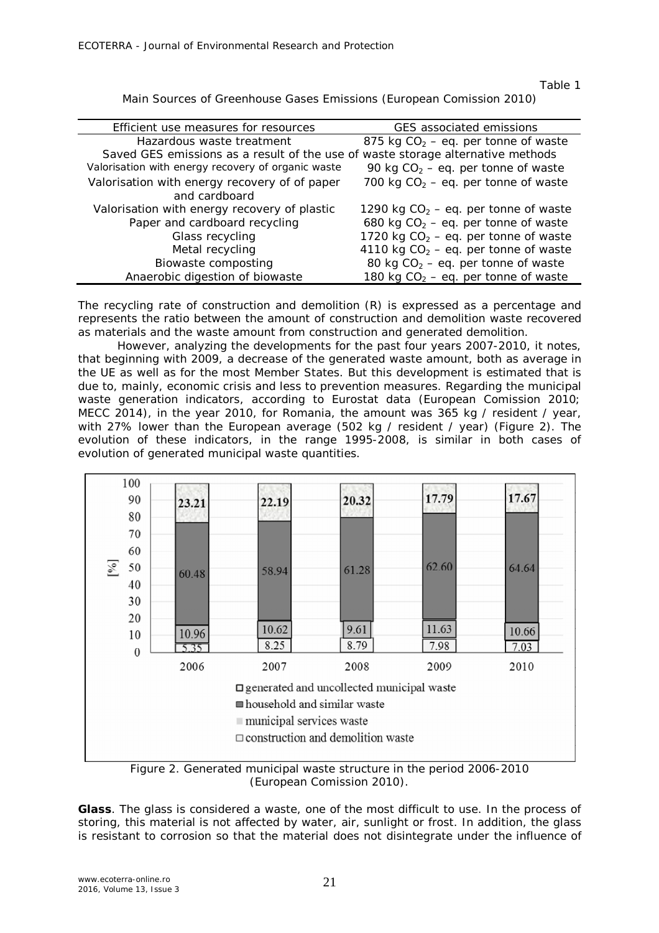Table 1

Main Sources of Greenhouse Gases Emissions (European Comission 2010)

| Efficient use measures for resources                                            | GES associated emissions                |
|---------------------------------------------------------------------------------|-----------------------------------------|
| Hazardous waste treatment                                                       | 875 kg $CO2 - eq.$ per tonne of waste   |
| Saved GES emissions as a result of the use of waste storage alternative methods |                                         |
| Valorisation with energy recovery of organic waste                              | 90 kg $CO2 - eq.$ per tonne of waste    |
| Valorisation with energy recovery of of paper                                   | 700 kg $CO2 - eq.$ per tonne of waste   |
| and cardboard                                                                   |                                         |
| Valorisation with energy recovery of plastic                                    | 1290 kg $CO2 - eq.$ per tonne of waste  |
| Paper and cardboard recycling                                                   | 680 kg $CO2 - eq.$ per tonne of waste   |
| Glass recycling                                                                 | 1720 kg $CO2 - eq.$ per tonne of waste  |
| Metal recycling                                                                 | 4110 kg $CO2 - eq$ . per tonne of waste |
| Biowaste composting                                                             | 80 kg $CO2 - eq.$ per tonne of waste    |
| Anaerobic digestion of biowaste                                                 | 180 kg $CO2 - eq$ . per tonne of waste  |
|                                                                                 |                                         |

The recycling rate of construction and demolition (R) is expressed as a percentage and represents the ratio between the amount of construction and demolition waste recovered as materials and the waste amount from construction and generated demolition.

However, analyzing the developments for the past four years 2007-2010, it notes, that beginning with 2009, a decrease of the generated waste amount, both as average in the UE as well as for the most Member States. But this development is estimated that is due to, mainly, economic crisis and less to prevention measures. Regarding the municipal waste generation indicators, according to Eurostat data (European Comission 2010; MECC 2014), in the year 2010, for Romania, the amount was 365 kg / resident / year, with 27% lower than the European average (502 kg / resident / year) (Figure 2). The evolution of these indicators, in the range 1995-2008, is similar in both cases of evolution of generated municipal waste quantities.



Figure 2. Generated municipal waste structure in the period 2006-2010 (European Comission 2010).

*Glass.* The glass is considered a waste, one of the most difficult to use. In the process of storing, this material is not affected by water, air, sunlight or frost. In addition, the glass is resistant to corrosion so that the material does not disintegrate under the influence of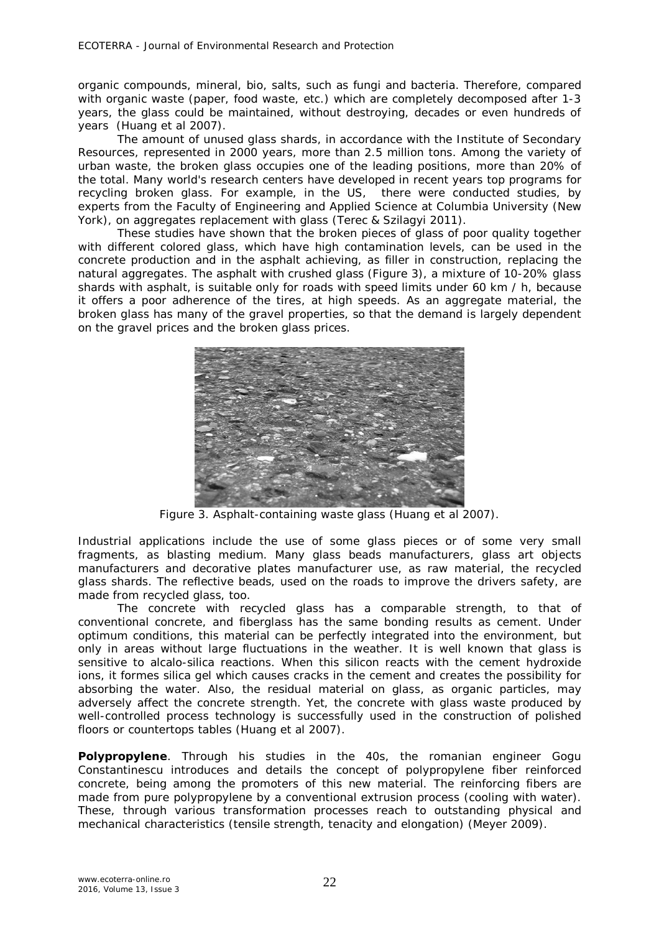organic compounds, mineral, bio, salts, such as fungi and bacteria. Therefore, compared with organic waste (paper, food waste, etc.) which are completely decomposed after 1-3 years, the glass could be maintained, without destroying, decades or even hundreds of years (Huang et al 2007).

The amount of unused glass shards, in accordance with the Institute of Secondary Resources, represented in 2000 years, more than 2.5 million tons. Among the variety of urban waste, the broken glass occupies one of the leading positions, more than 20% of the total. Many world's research centers have developed in recent years top programs for recycling broken glass. For example, in the US, there were conducted studies, by experts from the Faculty of Engineering and Applied Science at Columbia University (New York), on aggregates replacement with glass (Terec & Szilagyi 2011).

These studies have shown that the broken pieces of glass of poor quality together with different colored glass, which have high contamination levels, can be used in the concrete production and in the asphalt achieving, as filler in construction, replacing the natural aggregates. The asphalt with crushed glass (Figure 3), a mixture of 10-20% glass shards with asphalt, is suitable only for roads with speed limits under 60 km / h, because it offers a poor adherence of the tires, at high speeds. As an aggregate material, the broken glass has many of the gravel properties, so that the demand is largely dependent on the gravel prices and the broken glass prices.



Figure 3. Asphalt-containing waste glass (Huang et al 2007).

Industrial applications include the use of some glass pieces or of some very small fragments, as blasting medium. Many glass beads manufacturers, glass art objects manufacturers and decorative plates manufacturer use, as raw material, the recycled glass shards. The reflective beads, used on the roads to improve the drivers safety, are made from recycled glass, too.

The concrete with recycled glass has a comparable strength, to that of conventional concrete, and fiberglass has the same bonding results as cement. Under optimum conditions, this material can be perfectly integrated into the environment, but only in areas without large fluctuations in the weather. It is well known that glass is sensitive to alcalo-silica reactions. When this silicon reacts with the cement hydroxide ions, it formes silica gel which causes cracks in the cement and creates the possibility for absorbing the water. Also, the residual material on glass, as organic particles, may adversely affect the concrete strength. Yet, the concrete with glass waste produced by well-controlled process technology is successfully used in the construction of polished floors or countertops tables (Huang et al 2007).

*Polypropylene.* Through his studies in the 40s, the romanian engineer Gogu Constantinescu introduces and details the concept of polypropylene fiber reinforced concrete, being among the promoters of this new material. The reinforcing fibers are made from pure polypropylene by a conventional extrusion process (cooling with water). These, through various transformation processes reach to outstanding physical and mechanical characteristics (tensile strength, tenacity and elongation) (Meyer 2009).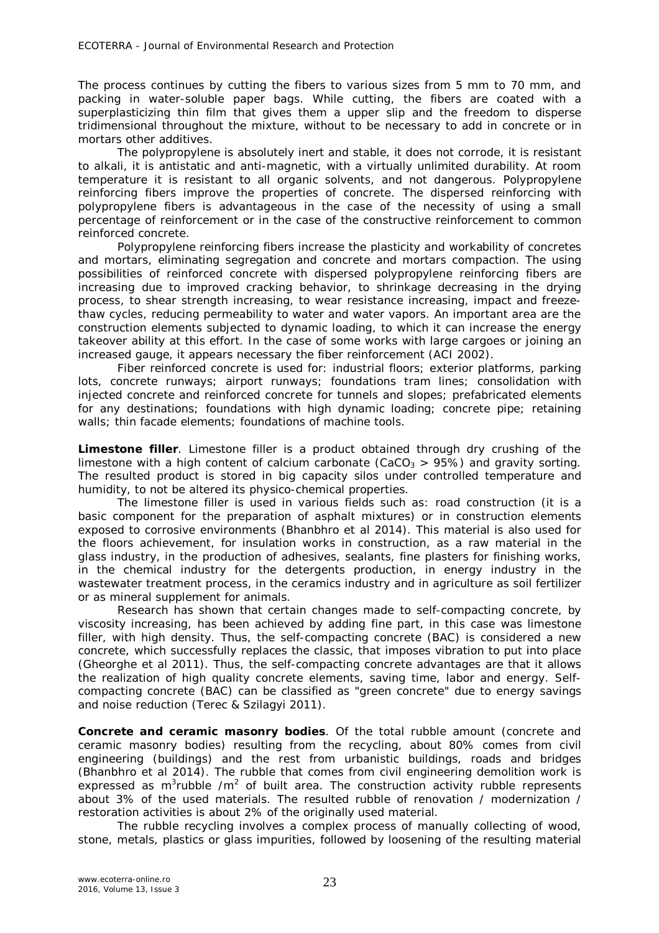The process continues by cutting the fibers to various sizes from 5 mm to 70 mm, and packing in water-soluble paper bags. While cutting, the fibers are coated with a superplasticizing thin film that gives them a upper slip and the freedom to disperse tridimensional throughout the mixture, without to be necessary to add in concrete or in mortars other additives.

The polypropylene is absolutely inert and stable, it does not corrode, it is resistant to alkali, it is antistatic and anti-magnetic, with a virtually unlimited durability. At room temperature it is resistant to all organic solvents, and not dangerous. Polypropylene reinforcing fibers improve the properties of concrete. The dispersed reinforcing with polypropylene fibers is advantageous in the case of the necessity of using a small percentage of reinforcement or in the case of the constructive reinforcement to common reinforced concrete.

Polypropylene reinforcing fibers increase the plasticity and workability of concretes and mortars, eliminating segregation and concrete and mortars compaction. The using possibilities of reinforced concrete with dispersed polypropylene reinforcing fibers are increasing due to improved cracking behavior, to shrinkage decreasing in the drying process, to shear strength increasing, to wear resistance increasing, impact and freezethaw cycles, reducing permeability to water and water vapors. An important area are the construction elements subjected to dynamic loading, to which it can increase the energy takeover ability at this effort. In the case of some works with large cargoes or joining an increased gauge, it appears necessary the fiber reinforcement (ACI 2002).

Fiber reinforced concrete is used for: industrial floors; exterior platforms, parking lots, concrete runways; airport runways; foundations tram lines; consolidation with injected concrete and reinforced concrete for tunnels and slopes; prefabricated elements for any destinations; foundations with high dynamic loading; concrete pipe; retaining walls; thin facade elements; foundations of machine tools.

*Limestone filler.* Limestone filler is a product obtained through dry crushing of the limestone with a high content of calcium carbonate (CaCO<sub>3</sub> > 95%) and gravity sorting. The resulted product is stored in big capacity silos under controlled temperature and humidity, to not be altered its physico-chemical properties.

The limestone filler is used in various fields such as: road construction (it is a basic component for the preparation of asphalt mixtures) or in construction elements exposed to corrosive environments (Bhanbhro et al 2014). This material is also used for the floors achievement, for insulation works in construction, as a raw material in the glass industry, in the production of adhesives, sealants, fine plasters for finishing works, in the chemical industry for the detergents production, in energy industry in the wastewater treatment process, in the ceramics industry and in agriculture as soil fertilizer or as mineral supplement for animals.

Research has shown that certain changes made to self-compacting concrete, by viscosity increasing, has been achieved by adding fine part, in this case was limestone filler, with high density. Thus, the self-compacting concrete (BAC) is considered a new concrete, which successfully replaces the classic, that imposes vibration to put into place (Gheorghe et al 2011). Thus, the self-compacting concrete advantages are that it allows the realization of high quality concrete elements, saving time, labor and energy. Selfcompacting concrete (BAC) can be classified as "green concrete" due to energy savings and noise reduction (Terec & Szilagyi 2011).

*Concrete and ceramic masonry bodies.* Of the total rubble amount (concrete and ceramic masonry bodies) resulting from the recycling, about 80% comes from civil engineering (buildings) and the rest from urbanistic buildings, roads and bridges (Bhanbhro et al 2014). The rubble that comes from civil engineering demolition work is expressed as m<sup>3</sup>rubble /m<sup>2</sup> of built area. The construction activity rubble represents about 3% of the used materials. The resulted rubble of renovation / modernization / restoration activities is about 2% of the originally used material.

The rubble recycling involves a complex process of manually collecting of wood, stone, metals, plastics or glass impurities, followed by loosening of the resulting material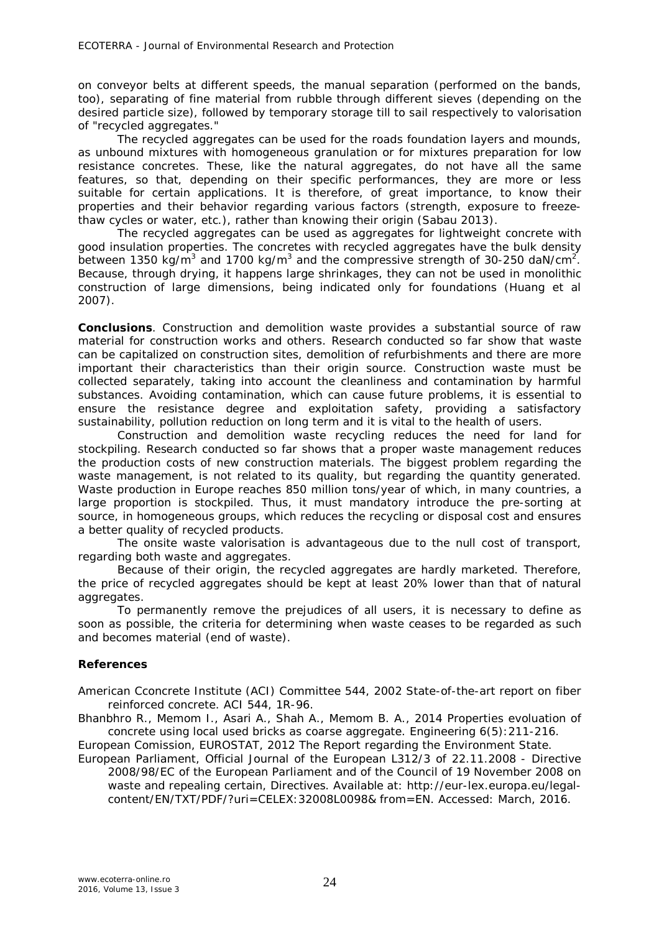on conveyor belts at different speeds, the manual separation (performed on the bands, too), separating of fine material from rubble through different sieves (depending on the desired particle size), followed by temporary storage till to sail respectively to valorisation of "recycled aggregates."

The recycled aggregates can be used for the roads foundation layers and mounds, as unbound mixtures with homogeneous granulation or for mixtures preparation for low resistance concretes. These, like the natural aggregates, do not have all the same features, so that, depending on their specific performances, they are more or less suitable for certain applications. It is therefore, of great importance, to know their properties and their behavior regarding various factors (strength, exposure to freezethaw cycles or water, etc.), rather than knowing their origin (Sabau 2013).

The recycled aggregates can be used as aggregates for lightweight concrete with good insulation properties. The concretes with recycled aggregates have the bulk density between 1350 kg/m<sup>3</sup> and 1700 kg/m<sup>3</sup> and the compressive strength of 30-250 daN/cm<sup>2</sup>. Because, through drying, it happens large shrinkages, they can not be used in monolithic construction of large dimensions, being indicated only for foundations (Huang et al 2007).

**Conclusions**. Construction and demolition waste provides a substantial source of raw material for construction works and others. Research conducted so far show that waste can be capitalized on construction sites, demolition of refurbishments and there are more important their characteristics than their origin source. Construction waste must be collected separately, taking into account the cleanliness and contamination by harmful substances. Avoiding contamination, which can cause future problems, it is essential to ensure the resistance degree and exploitation safety, providing a satisfactory sustainability, pollution reduction on long term and it is vital to the health of users.

Construction and demolition waste recycling reduces the need for land for stockpiling. Research conducted so far shows that a proper waste management reduces the production costs of new construction materials. The biggest problem regarding the waste management, is not related to its quality, but regarding the quantity generated. Waste production in Europe reaches 850 million tons/year of which, in many countries, a large proportion is stockpiled. Thus, it must mandatory introduce the pre-sorting at source, in homogeneous groups, which reduces the recycling or disposal cost and ensures a better quality of recycled products.

The onsite waste valorisation is advantageous due to the null cost of transport, regarding both waste and aggregates.

Because of their origin, the recycled aggregates are hardly marketed. Therefore, the price of recycled aggregates should be kept at least 20% lower than that of natural aggregates.

To permanently remove the prejudices of all users, it is necessary to define as soon as possible, the criteria for determining when waste ceases to be regarded as such and becomes material (end of waste).

## **References**

American Cconcrete Institute (ACI) Committee 544, 2002 State-of-the-art report on fiber reinforced concrete. ACI 544, 1R-96.

Bhanbhro R., Memom I., Asari A., Shah A., Memom B. A., 2014 Properties evoluation of concrete using local used bricks as coarse aggregate. Engineering 6(5):211-216.

European Comission, EUROSTAT, 2012 The Report regarding the Environment State.

European Parliament, Official Journal of the European L312/3 of 22.11.2008 - Directive 2008/98/EC of the European Parliament and of the Council of 19 November 2008 on waste and repealing certain, Directives. Available at: http://eur-lex.europa.eu/legalcontent/EN/TXT/PDF/?uri=CELEX:32008L0098& from=EN. Accessed: March, 2016.